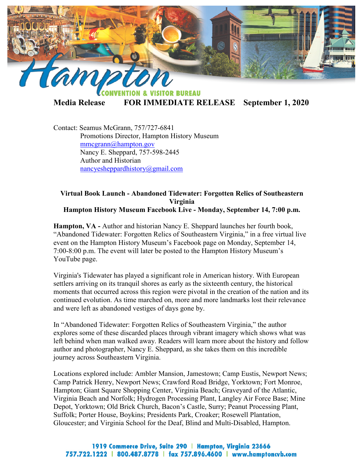

**TOR BUREAU** 

**Media Release FOR IMMEDIATE RELEASE September 1, 2020**

Contact: Seamus McGrann, 757/727-6841 Promotions Director, Hampton History Museum [mmcgrann@hampton.gov](mailto:mmcgrann@hampton.gov) Nancy E. Sheppard, 757-598-2445 Author and Historian [nancyesheppardhistory@gmail.com](mailto:nancyesheppardhistory@gmail.com)

## **Virtual Book Launch - Abandoned Tidewater: Forgotten Relics of Southeastern Virginia Hampton History Museum Facebook Live - Monday, September 14, 7:00 p.m.**

**Hampton, VA -** Author and historian Nancy E. Sheppard launches her fourth book, "Abandoned Tidewater: Forgotten Relics of Southeastern Virginia," in a free virtual live event on the Hampton History Museum's Facebook page on Monday, September 14, 7:00-8:00 p.m. The event will later be posted to the Hampton History Museum's YouTube page.

Virginia's Tidewater has played a significant role in American history. With European settlers arriving on its tranquil shores as early as the sixteenth century, the historical moments that occurred across this region were pivotal in the creation of the nation and its continued evolution. As time marched on, more and more landmarks lost their relevance and were left as abandoned vestiges of days gone by.

In "Abandoned Tidewater: Forgotten Relics of Southeastern Virginia," the author explores some of these discarded places through vibrant imagery which shows what was left behind when man walked away. Readers will learn more about the history and follow author and photographer, Nancy E. Sheppard, as she takes them on this incredible journey across Southeastern Virginia.

Locations explored include: Ambler Mansion, Jamestown; Camp Eustis, Newport News; Camp Patrick Henry, Newport News; Crawford Road Bridge, Yorktown; Fort Monroe, Hampton; Giant Square Shopping Center, Virginia Beach; Graveyard of the Atlantic, Virginia Beach and Norfolk; Hydrogen Processing Plant, Langley Air Force Base; Mine Depot, Yorktown; Old Brick Church, Bacon's Castle, Surry; Peanut Processing Plant, Suffolk; Porter House, Boykins; Presidents Park, Croaker; Rosewell Plantation, Gloucester; and Virginia School for the Deaf, Blind and Multi-Disabled, Hampton.